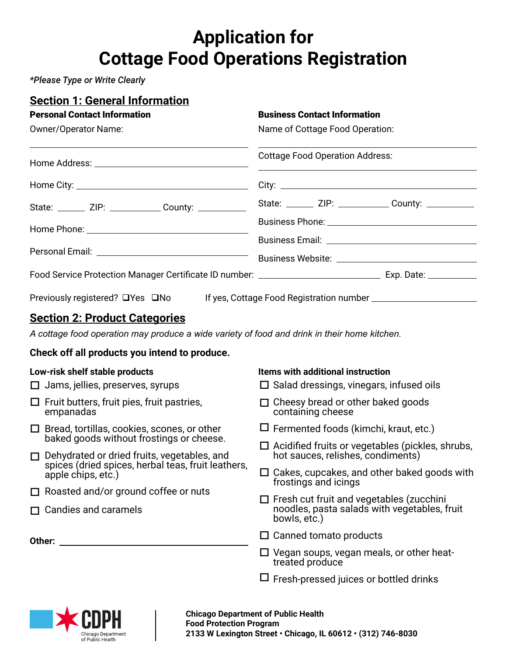# **Application for Cottage Food Operations Registration**

*\*Please Type or Write Clearly*

| <b>Section 1: General Information</b>                                                               |                                                                            |  |  |
|-----------------------------------------------------------------------------------------------------|----------------------------------------------------------------------------|--|--|
| <b>Personal Contact Information</b>                                                                 | <b>Business Contact Information</b><br>Name of Cottage Food Operation:     |  |  |
| Owner/Operator Name:                                                                                |                                                                            |  |  |
|                                                                                                     | <b>Cottage Food Operation Address:</b>                                     |  |  |
|                                                                                                     |                                                                            |  |  |
| State: _______ ZIP: _____________ County: ___________                                               | State: _______ ZIP: _____________ County: __________                       |  |  |
|                                                                                                     |                                                                            |  |  |
|                                                                                                     |                                                                            |  |  |
|                                                                                                     |                                                                            |  |  |
|                                                                                                     |                                                                            |  |  |
| Previously registered? □Yes □No                                                                     |                                                                            |  |  |
| <u><b>Section 2: Product Categories</b></u>                                                         |                                                                            |  |  |
| A cottage food operation may produce a wide variety of food and drink in their home kitchen.        |                                                                            |  |  |
| Check off all products you intend to produce.                                                       |                                                                            |  |  |
| Low-risk shelf stable products                                                                      | <b>Items with additional instruction</b>                                   |  |  |
| $\Box$ Jams, jellies, preserves, syrups                                                             | $\Box$ Salad dressings, vinegars, infused oils                             |  |  |
| $\Box$ Fruit butters, fruit pies, fruit pastries,<br>empanadas                                      | $\Box$ Cheesy bread or other baked goods<br>containing cheese              |  |  |
| $\Box$ Bread, tortillas, cookies, scones, or other                                                  | $\Box$ Fermented foods (kimchi, kraut, etc.)                               |  |  |
| baked goods without frostings or cheese.                                                            | $\Box$ Acidified fruits or vegetables (pickles, shrubs,                    |  |  |
| □ Dehydrated or dried fruits, vegetables, and<br>spices (dried spices, herbal teas, fruit leathers, | hot sauces, relishes, condiments)                                          |  |  |
| apple chips, etc.)                                                                                  | $\Box$ Cakes, cupcakes, and other baked goods with<br>frostings and icings |  |  |
| $\Box$ Roasted and/or ground coffee or nuts                                                         | $\Box$ Fresh cut fruit and vegetables (zucchini                            |  |  |
| $\Box$ Candies and caramels                                                                         | noodles, pasta salads with vegetables, fruit<br>bowls, etc.)               |  |  |
| Other:                                                                                              | $\Box$ Canned tomato products                                              |  |  |
|                                                                                                     | $\Box$ Vegan soups, vegan meals, or other heat-<br>treated produce         |  |  |
|                                                                                                     | $\Box$ Fresh-pressed juices or bottled drinks                              |  |  |

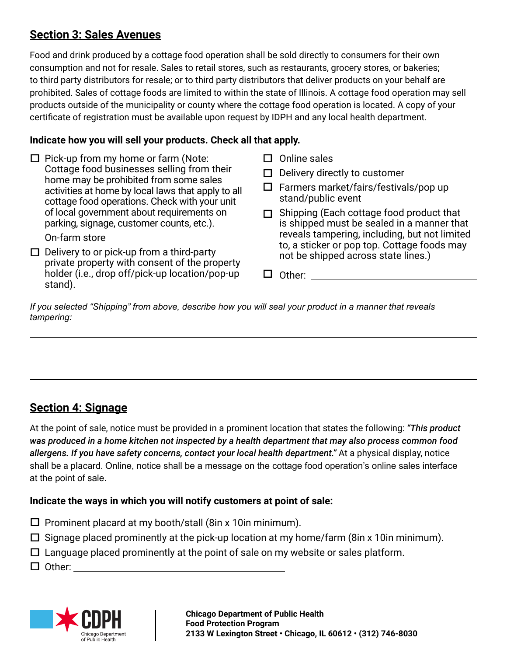### **Section 3: Sales Avenues**

Food and drink produced by a cottage food operation shall be sold directly to consumers for their own consumption and not for resale. Sales to retail stores, such as restaurants, grocery stores, or bakeries; to third party distributors for resale; or to third party distributors that deliver products on your behalf are prohibited. Sales of cottage foods are limited to within the state of Illinois. A cottage food operation may sell products outside of the municipality or county where the cottage food operation is located. A copy of your certificate of registration must be available upon request by IDPH and any local health department.

### **Indicate how you will sell your products. Check all that apply.**

 $\Box$  Pick-up from my home or farm (Note: Cottage food businesses selling from their home may be prohibited from some sales activities at home by local laws that apply to all cottage food operations. Check with your unit of local government about requirements on parking, signage, customer counts, etc.). On-farm store  $\Box$  Delivery to or pick-up from a third-party private property with consent of the property holder (i.e., drop off/pick-up location/pop-up stand).  $\square$  Online sales  $\Box$  Delivery directly to customer  $\square$  Farmers market/fairs/festivals/pop up stand/public event □ Shipping (Each cottage food product that is shipped must be sealed in a manner that reveals tampering, including, but not limited to, a sticker or pop top. Cottage foods may not be shipped across state lines.) □ Other:

*If you selected "Shipping" from above, describe how you will seal your product in a manner that reveals tampering:*

# **Section 4: Signage**

At the point of sale, notice must be provided in a prominent location that states the following: *"This product was produced in a home kitchen not inspected by a health department that may also process common food allergens. If you have safety concerns, contact your local health department."* At a physical display, notice shall be a placard. Online, notice shall be a message on the cottage food operation's online sales interface at the point of sale.

### **Indicate the ways in which you will notify customers at point of sale:**

- $\square$  Prominent placard at my booth/stall (8in x 10in minimum).
- $\Box$  Signage placed prominently at the pick-up location at my home/farm (8in x 10in minimum).
- $\Box$  Language placed prominently at the point of sale on my website or sales platform.
- $\square$  Other:

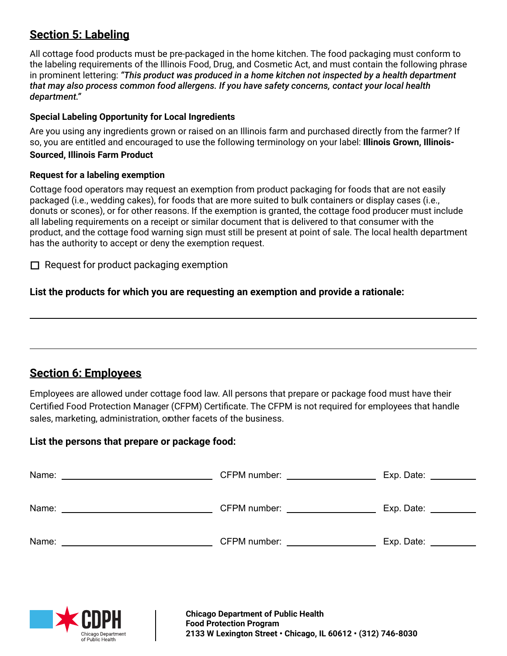### **Section 5: Labeling**

All cottage food products must be pre-packaged in the home kitchen. The food packaging must conform to the labeling requirements of the Illinois Food, Drug, and Cosmetic Act, and must contain the following phrase in prominent lettering: *"This product was produced in a home kitchen not inspected by a health department that may also process common food allergens. If you have safety concerns, contact your local health department."* 

#### **Special Labeling Opportunity for Local Ingredients**

Are you using any ingredients grown or raised on an Illinois farm and purchased directly from the farmer? If so, you are entitled and encouraged to use the following terminology on your label: **Illinois Grown, Illinois-Sourced, Illinois Farm Product**

#### **Request for a labeling exemption**

Cottage food operators may request an exemption from product packaging for foods that are not easily packaged (i.e., wedding cakes), for foods that are more suited to bulk containers or display cases (i.e., donuts or scones), or for other reasons. If the exemption is granted, the cottage food producer must include all labeling requirements on a receipt or similar document that is delivered to that consumer with the product, and the cottage food warning sign must still be present at point of sale. The local health department has the authority to accept or deny the exemption request.

 $\Box$  Request for product packaging exemption

**List the products for which you are requesting an exemption and provide a rationale:**

### **Section 6: Employees**

Employees are allowed under cottage food law. All persons that prepare or package food must have their Certified Food Protection Manager (CFPM) Certificate. The CFPM is not required for employees that handle sales, marketing, administration, orother facets of the business.

#### **List the persons that prepare or package food:**

| Name:<br><u> 1989 - Johann Stein, mars an deutscher Stein († 1958)</u>                                                         | CFPM number: _________________ | $Exp.$ Date: $\_\_$ |
|--------------------------------------------------------------------------------------------------------------------------------|--------------------------------|---------------------|
|                                                                                                                                |                                |                     |
| Name:<br><u> 1980 - Jan Stein Harry Stein Harry Stein Harry Stein Harry Stein Harry Stein Harry Stein Harry Stein Harry St</u> | CFPM number: _____________     | Exp. Date:          |
|                                                                                                                                |                                |                     |
| Name:                                                                                                                          | CFPM number:                   | Exp. Date:          |
|                                                                                                                                |                                |                     |

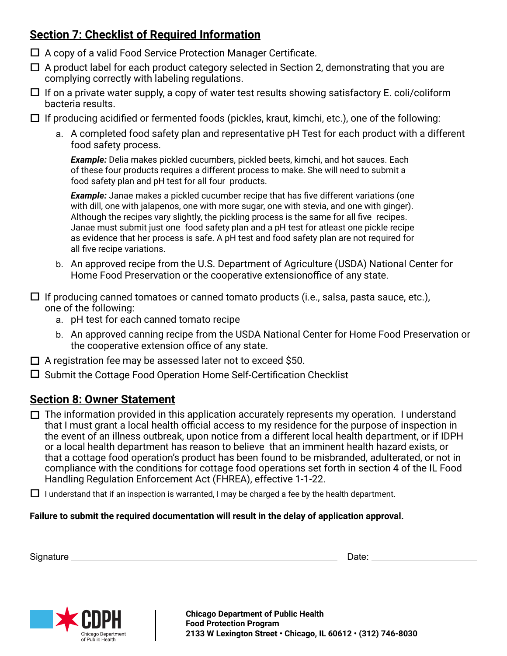# **Section 7: Checklist of Required Information**

- □ A copy of a valid Food Service Protection Manager Certificate.
- $\Box$  A product label for each product category selected in Section 2, demonstrating that you are complying correctly with labeling regulations.
- $\Box$  If on a private water supply, a copy of water test results showing satisfactory E. coli/coliform bacteria results.
- $\Box$  If producing acidified or fermented foods (pickles, kraut, kimchi, etc.), one of the following:
	- a. A completed food safety plan and representative pH Test for each product with a different food safety process.

*Example:* Delia makes pickled cucumbers, pickled beets, kimchi, and hot sauces. Each of these four products requires a different process to make. She will need to submit a food safety plan and pH test for all four products.

**Example:** Janae makes a pickled cucumber recipe that has five different variations (one with dill, one with jalapenos, one with more sugar, one with stevia, and one with ginger). Although the recipes vary slightly, the pickling process is the same for all five recipes. Janae must submit just one food safety plan and a pH test for atleast one pickle recipe as evidence that her process is safe. A pH test and food safety plan are not required for all five recipe variations.

b. An approved recipe from the U.S. Department of Agriculture (USDA) National Center for Home Food Preservation or the cooperative extension office of any state.

 $\Box$  If producing canned tomatoes or canned tomato products (i.e., salsa, pasta sauce, etc.), one of the following:

- a. pH test for each canned tomato recipe
- b. An approved canning recipe from the USDA National Center for Home Food Preservation or the cooperative extension office of any state.
- □ A registration fee may be assessed later not to exceed \$50.
- □ Submit the Cottage Food Operation Home Self-Certification Checklist

### **Section 8: Owner Statement**

 $\Box$  The information provided in this application accurately represents my operation. I understand that I must grant a local health official access to my residence for the purpose of inspection in the event of an illness outbreak, upon notice from a different local health department, or if IDPH or a local health department has reason to believe that an imminent health hazard exists, or that a cottage food operation's product has been found to be misbranded, adulterated, or not in compliance with the conditions for cottage food operations set forth in section 4 of the IL Food Handling Regulation Enforcement Act (FHREA), effective 1-1-22.

 $\Box$  I understand that if an inspection is warranted, I may be charged a fee by the health department.

#### **Failure to submit the required documentation will result in the delay of application approval.**

| Sign<br>$ -$<br>-<br>. | ---- |  |
|------------------------|------|--|
|                        |      |  |